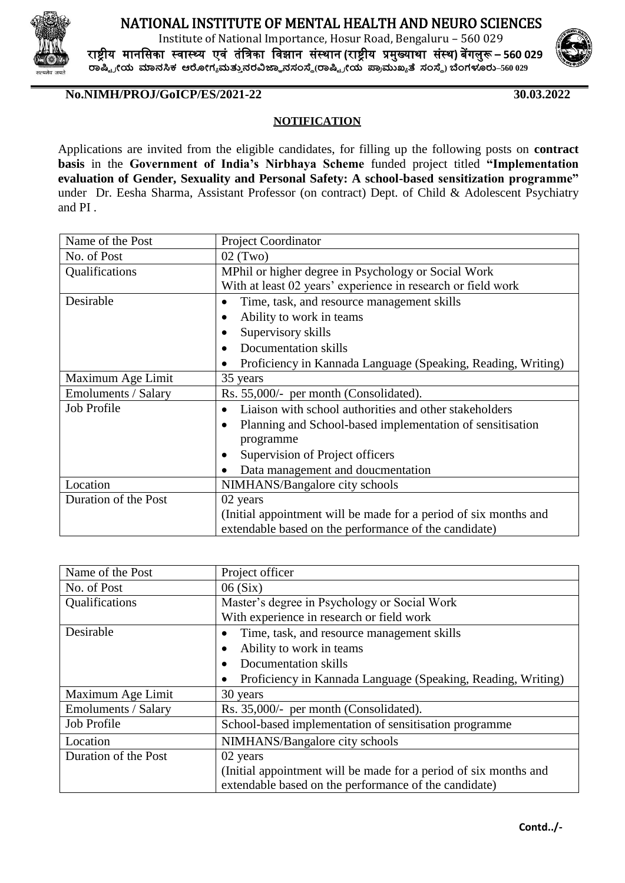

## NATIONAL INSTITUTE OF MENTAL HEALTH AND NEURO SCIENCES

Institute of National Importance, Hosur Road, Bengaluru – 560 029 राष्ट्रीय मानसिका स्वास््य एवं तंसिका सवझान िंस्थान **(**राष्ट्रीय प्रमुख्याथा िंस्थ**)** बेंगलुरू **– 560 029 ರಾಷ್ಟ್ ರ ೀಯ ಮಾನಸಿಕ ಆರೀಗ್ಯ ಮತ್ತು ನರವಿಜ್ಞಾ ನಸಂಸ್ಥೆ(ರಾಷ್ಟ್ ರ ೀಯ ಪ್ರರ ಮುಖ್ಯ ತೆ ಸಂಸ್ಥೆ) ಬೆಂಗ್ಳೂರು–560 029**



**No.NIMH/PROJ/GoICP/ES/2021-22 30.03.2022**

## **NOTIFICATION**

Applications are invited from the eligible candidates, for filling up the following posts on **contract basis** in the **Government of India's Nirbhaya Scheme** funded project titled **"Implementation evaluation of Gender, Sexuality and Personal Safety: A school-based sensitization programme"**  under Dr. Eesha Sharma, Assistant Professor (on contract) Dept. of Child & Adolescent Psychiatry and PI .

| Name of the Post           | <b>Project Coordinator</b>                                       |
|----------------------------|------------------------------------------------------------------|
| No. of Post                | $02$ (Two)                                                       |
| Qualifications             | MPhil or higher degree in Psychology or Social Work              |
|                            | With at least 02 years' experience in research or field work     |
| Desirable                  | Time, task, and resource management skills                       |
|                            | Ability to work in teams<br>٠                                    |
|                            | Supervisory skills                                               |
|                            | Documentation skills                                             |
|                            | Proficiency in Kannada Language (Speaking, Reading, Writing)     |
| Maximum Age Limit          | 35 years                                                         |
| <b>Emoluments / Salary</b> | Rs. 55,000/- per month (Consolidated).                           |
| Job Profile                | Liaison with school authorities and other stakeholders           |
|                            | Planning and School-based implementation of sensitisation<br>٠   |
|                            | programme                                                        |
|                            | Supervision of Project officers                                  |
|                            | Data management and doucmentation                                |
| Location                   | NIMHANS/Bangalore city schools                                   |
| Duration of the Post       | 02 years                                                         |
|                            | (Initial appointment will be made for a period of six months and |
|                            | extendable based on the performance of the candidate)            |

| Name of the Post     | Project officer                                                  |
|----------------------|------------------------------------------------------------------|
| No. of Post          | 06(Six)                                                          |
| Qualifications       | Master's degree in Psychology or Social Work                     |
|                      | With experience in research or field work                        |
| Desirable            | Time, task, and resource management skills                       |
|                      | Ability to work in teams                                         |
|                      | Documentation skills                                             |
|                      | Proficiency in Kannada Language (Speaking, Reading, Writing)     |
| Maximum Age Limit    | 30 years                                                         |
| Emoluments / Salary  | Rs. 35,000/- per month (Consolidated).                           |
| Job Profile          | School-based implementation of sensitisation programme           |
| Location             | NIMHANS/Bangalore city schools                                   |
| Duration of the Post | 02 years                                                         |
|                      | (Initial appointment will be made for a period of six months and |
|                      | extendable based on the performance of the candidate)            |